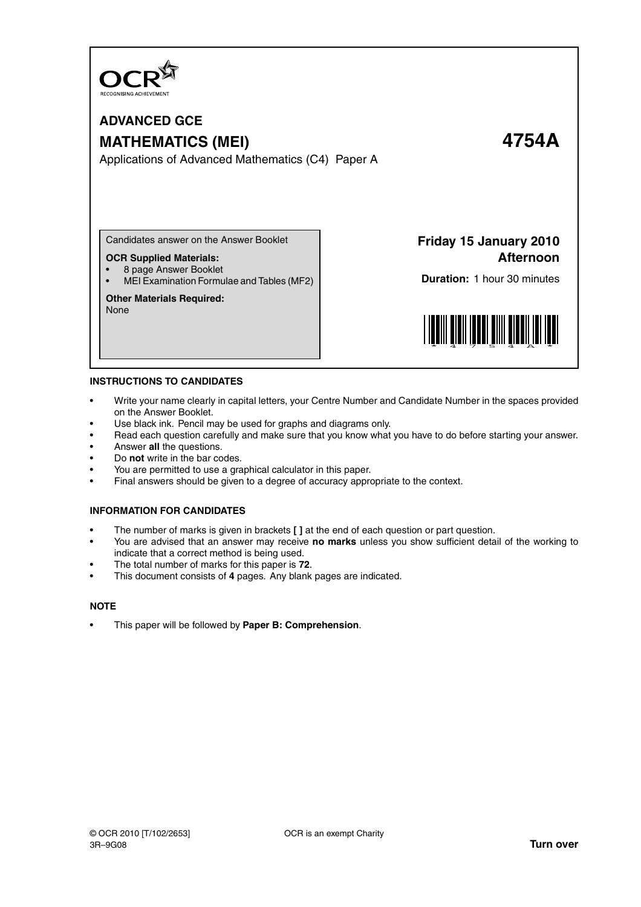

# **ADVANCED GCE MATHEMATICS (MEI) 4754A**

Applications of Advanced Mathematics (C4) Paper A

Candidates answer on the Answer Booklet

#### **OCR Supplied Materials:**

- 8 page Answer Booklet
- MEI Examination Formulae and Tables (MF2)

#### **Other Materials Required:**

None

**Friday 15 January 2010 Afternoon**

**Duration:** 1 hour 30 minutes



#### **INSTRUCTIONS TO CANDIDATES**

- Write your name clearly in capital letters, your Centre Number and Candidate Number in the spaces provided on the Answer Booklet.
- Use black ink. Pencil may be used for graphs and diagrams only.
- Read each question carefully and make sure that you know what you have to do before starting your answer.
- Answer **all** the questions.
- Do **not** write in the bar codes.
- You are permitted to use a graphical calculator in this paper.
- Final answers should be given to a degree of accuracy appropriate to the context.

#### **INFORMATION FOR CANDIDATES**

- The number of marks is given in brackets **[ ]** at the end of each question or part question.
- You are advised that an answer may receive **no marks** unless you show sufficient detail of the working to indicate that a correct method is being used.
- The total number of marks for this paper is **72**.
- This document consists of **4** pages. Any blank pages are indicated.

#### **NOTE**

• This paper will be followed by **Paper B: Comprehension**.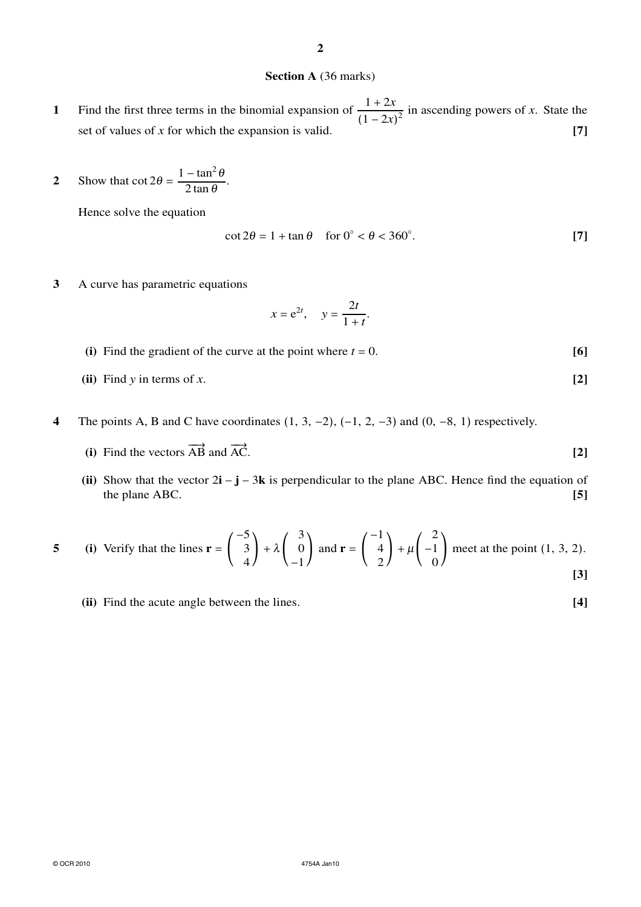### **Section A** (36 marks)

- **1** Find the first three terms in the binomial expansion of  $\frac{1+2x}{(1-x)}$  $\frac{1+2x}{(1-2x)^2}$  in ascending powers of *x*. State the set of values of  $x$  for which the expansion is valid. **[7]**
- **2** Show that  $\cot 2\theta = \frac{1-\tan^2 \theta}{2\tan \theta}$  $\frac{\tan \theta}{2 \tan \theta}$ .

Hence solve the equation

$$
\cot 2\theta = 1 + \tan \theta \quad \text{for } 0^{\circ} < \theta < 360^{\circ}.\tag{7}
$$

**3** A curve has parametric equations

$$
x = e^{2t}, \quad y = \frac{2t}{1+t}.
$$

- (i) Find the gradient of the curve at the point where  $t = 0$ . [6]
- **(ii)** Find *y* in terms of *x*. **[2]**
- **4** The points A, B and C have coordinates (1, 3, −2), (−1, 2, −3) and (0, −8, 1) respectively.
	- (i) Find the vectors  $\overrightarrow{AB}$  and  $\overrightarrow{AC}$ . [2]
	- **(ii)** Show that the vector 2**i** − **j** − 3**k** is perpendicular to the plane ABC. Hence find the equation of the plane ABC. **[5]**

5 (i) Verify that the lines 
$$
\mathbf{r} = \begin{pmatrix} -5 \\ 3 \\ 4 \end{pmatrix} + \lambda \begin{pmatrix} 3 \\ 0 \\ -1 \end{pmatrix}
$$
 and  $\mathbf{r} = \begin{pmatrix} -1 \\ 4 \\ 2 \end{pmatrix} + \mu \begin{pmatrix} 2 \\ -1 \\ 0 \end{pmatrix}$  meet at the point (1, 3, 2).

**(ii)** Find the acute angle between the lines. **[4]**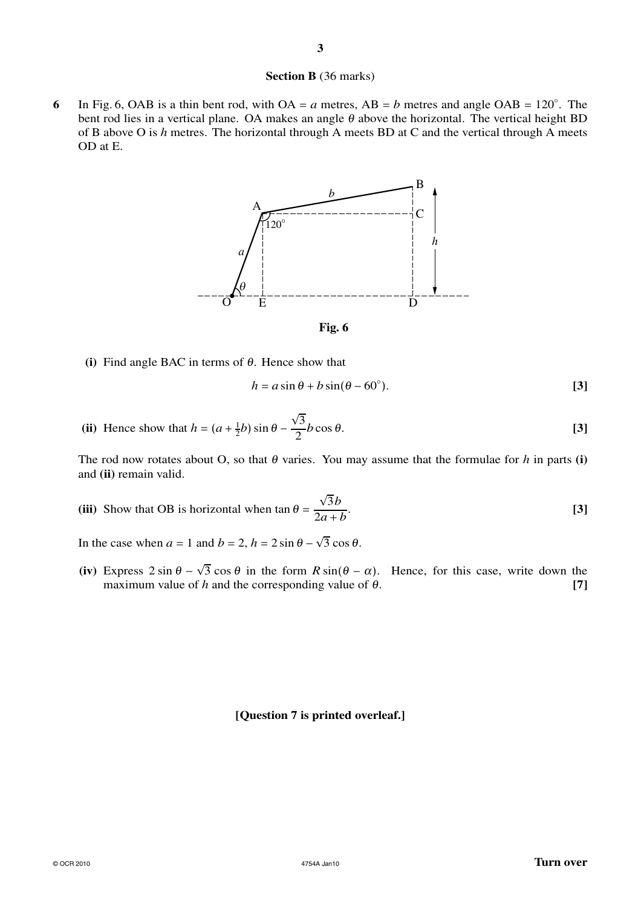#### **Section B** (36 marks)

6 In Fig. 6, OAB is a thin bent rod, with  $OA = a$  metres,  $AB = b$  metres and angle  $OAB = 120^\circ$ . The bent rod lies in a vertical plane. OA makes an angle  $\theta$  above the horizontal. The vertical height BD of B above O is *h* metres. The horizontal through A meets BD at C and the vertical through A meets OD at E.



**Fig. 6**

**(i)** Find angle BAC in terms of <sup>θ</sup>. Hence show that

$$
h = a\sin\theta + b\sin(\theta - 60^{\circ}).
$$
 [3]

(ii) Hence show that 
$$
h = (a + \frac{1}{2}b) \sin \theta - \frac{\sqrt{3}}{2}b \cos \theta
$$
. [3]

The rod now rotates about O, so that  $\theta$  varies. You may assume that the formulae for  $h$  in parts **(i)** and **(ii)** remain valid.

**(iii)** Show that OB is horizontal when  $\tan \theta =$ √ 3*b* 2*a* <sup>+</sup> *b* . **[3]**

In the case when  $a = 1$  and  $b = 2$ ,  $h = 2 \sin \theta - \sqrt{3} \cos \theta$ .

(iv) Express  $2 \sin \theta - \sqrt{3} \cos \theta$  in the form  $R \sin(\theta - \alpha)$ . Hence, for this case, write down the maximum value of *h* and the corresponding value of  $\theta$ . [7]

## **[Question 7 is printed overleaf.]**